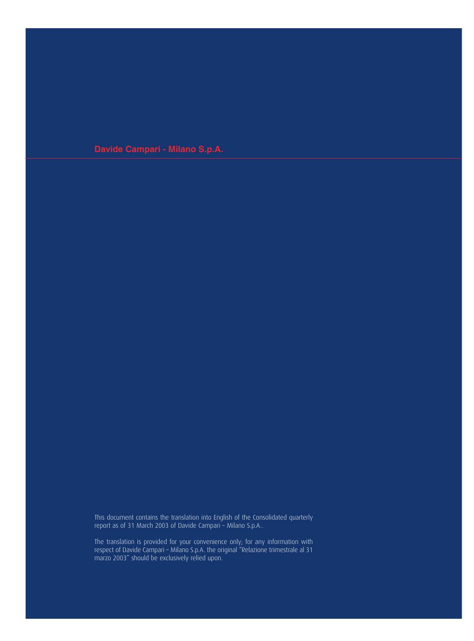**Davide Campari - Milano S.p.A.**

This document contains the translation into English of the Consolidated quarterly report as of 31 March 2003 of Davide Campari – Milano S.p.A..

The translation is provided for your convenience only; for any information with respect of Davide Campari – Milano S.p.A. the original "Relazione trimestrale al 31 marzo 2003" should be exclusively relied upon.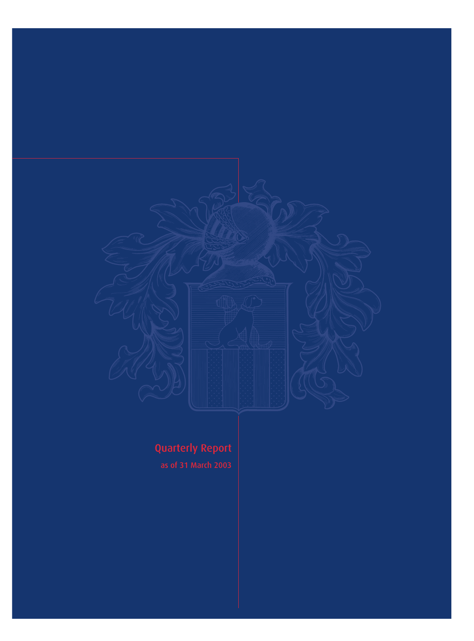

# Quarterly Report

as of 31 March 2003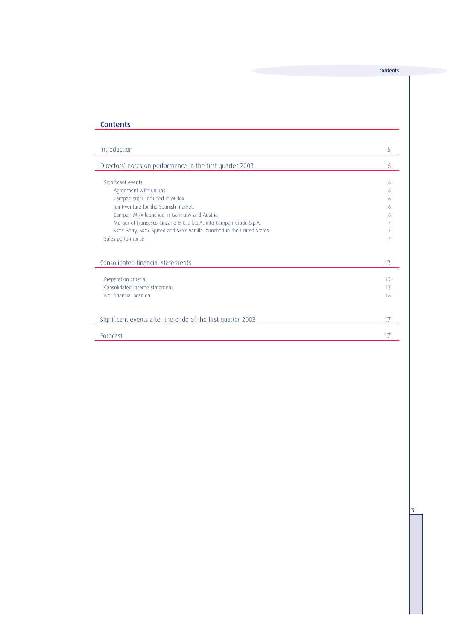## **Contents**

| Introduction                                                           | 5  |
|------------------------------------------------------------------------|----|
|                                                                        |    |
| Directors' notes on performance in the first quarter 2003              | 6  |
|                                                                        |    |
| Significant events                                                     | 6  |
| Agreement with unions                                                  | 6  |
| Campari stock included in Midex                                        | 6  |
| Joint-venture for the Spanish market.                                  | 6  |
| Campari Mixx launched in Germany and Austria                           | 6  |
| Merger of Francesco Cinzano & C.ia S.p.A. into Campari-Crodo S.p.A.    |    |
| SKYY Berry, SKYY Spiced and SKYY Vanilla launched in the United States |    |
| Sales performance                                                      |    |
|                                                                        |    |
|                                                                        |    |
| Consolidated financial statements                                      | 13 |
|                                                                        |    |
| Preparation criteria                                                   | 13 |
| Consolidated income statement                                          | 13 |
| Net financial position                                                 | 16 |
|                                                                        |    |
|                                                                        |    |
| Significant events after the endo of the first quarter 2003            | 17 |
|                                                                        |    |
| <b>Forecast</b>                                                        | 17 |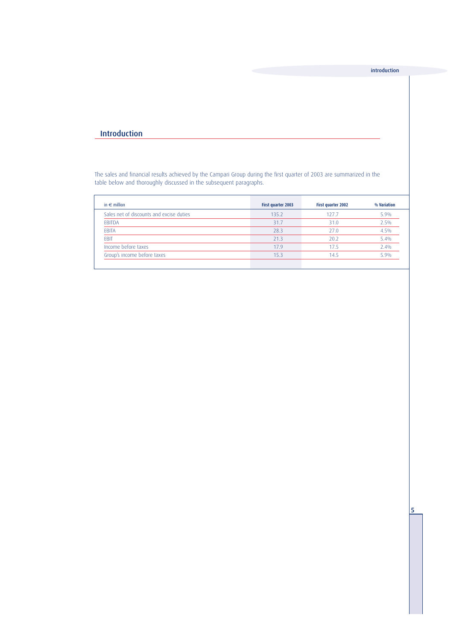## Introduction

The sales and financial results achieved by the Campari Group during the first quarter of 2003 are summarized in the table below and thoroughly discussed in the subsequent paragraphs.

| in $\epsilon$ million                    | First quarter 2003 | First quarter 2002 | % Variation |
|------------------------------------------|--------------------|--------------------|-------------|
| Sales net of discounts and excise duties | 135.2              | 127.7              | 5.9%        |
| EBITDA                                   | 31.7               | 31.0               | 2.5%        |
| <b>EBITA</b>                             | 28.3               | 27.0               | 4.5%        |
| <b>FBIT</b>                              | 21.3               | 20.2               | 5.4%        |
| Income before taxes                      | 17.9               | 17.5               | 2.4%        |
| Group's income before taxes              | 15.3               | 14.5               | 5.9%        |
|                                          |                    |                    |             |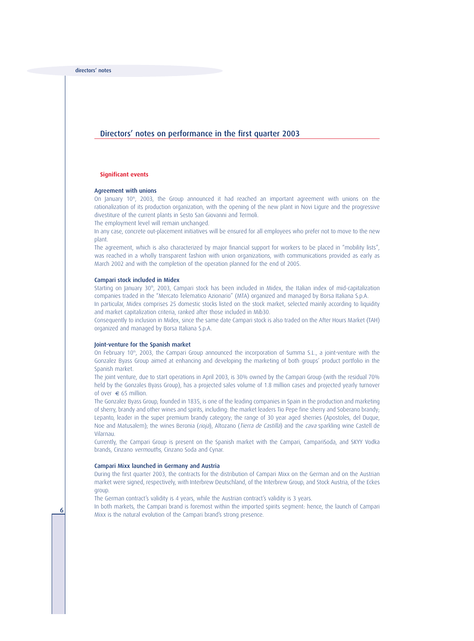## Directors' notes on performance in the first quarter 2003

#### **Significant events**

#### Agreement with unions

On January  $10<sup>th</sup>$ , 2003, the Group announced it had reached an important agreement with unions on the rationalization of its production organization, with the opening of the new plant in Novi Ligure and the progressive divestiture of the current plants in Sesto San Giovanni and Termoli.

The employment level will remain unchanged.

In any case, concrete out-placement initiatives will be ensured for all employees who prefer not to move to the new plant.

The agreement, which is also characterized by major financial support for workers to be placed in "mobility lists", was reached in a wholly transparent fashion with union organizations, with communications provided as early as March 2002 and with the completion of the operation planned for the end of 2005.

#### Campari stock included in Midex

Starting on January 30<sup>th</sup>, 2003, Campari stock has been included in Midex, the Italian index of mid-capitalization companies traded in the "Mercato Telematico Azionario" (MTA) organized and managed by Borsa Italiana S.p.A.

In particular, Midex comprises 25 domestic stocks listed on the stock market, selected mainly according to liquidity and market capitalization criteria, ranked after those included in Mib30.

Consequently to inclusion in Midex, since the same date Campari stock is also traded on the After Hours Market (TAH) organized and managed by Borsa Italiana S.p.A.

#### Joint-venture for the Spanish market

On February  $10<sup>th</sup>$ , 2003, the Campari Group announced the incorporation of Summa S.L., a joint-venture with the Gonzalez Byass Group aimed at enhancing and developing the marketing of both groups' product portfolio in the Spanish market.

The joint venture, due to start operations in April 2003, is 30% owned by the Campari Group (with the residual 70% held by the Gonzales Byass Group), has a projected sales volume of 1.8 million cases and projected yearly turnover of over  $\epsilon$  65 million.

The Gonzalez Byass Group, founded in 1835, is one of the leading companies in Spain in the production and marketing of sherry, brandy and other wines and spirits, including: the market leaders Tio Pepe fine sherry and Soberano brandy; Lepanto, leader in the super premium brandy category; the range of 30 year aged sherries (Apostoles, del Duque, Noe and Matusalem); the wines Beronia (rioja), Altozano (Tierra de Castilla) and the cava sparkling wine Castell de Vilarnau.

Currently, the Campari Group is present on the Spanish market with the Campari, CampariSoda, and SKYY Vodka brands, Cinzano vermouths, Cinzano Soda and Cynar.

#### Campari Mixx launched in Germany and Austria

During the first quarter 2003, the contracts for the distribution of Campari Mixx on the German and on the Austrian market were signed, respectively, with Interbrew Deutschland, of the Interbrew Group, and Stock Austria, of the Eckes group.

The German contract's validity is 4 years, while the Austrian contract's validity is 3 years.

In both markets, the Campari brand is foremost within the imported spirits segment: hence, the launch of Campari **6** Mixx is the natural evolution of the Campari brand's strong presence.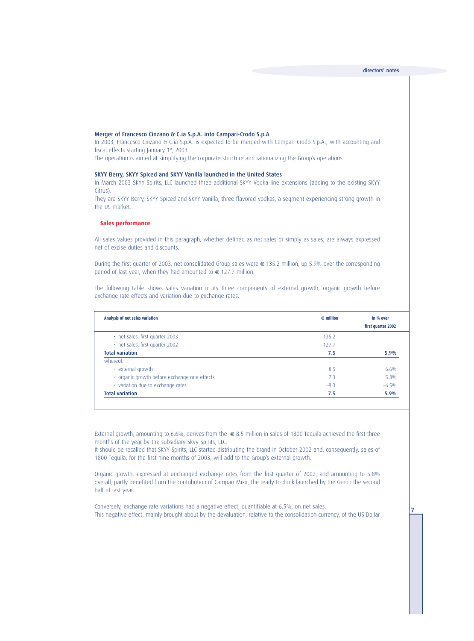#### Merger of Francesco Cinzano & C.ia S.p.A. into Campari-Crodo S.p.A

In 2003, Francesco Cinzano & C.ia S.p.A. is expected to be merged with Campari-Crodo S.p.A., with accounting and fiscal effects starting January 1st, 2003.

The operation is aimed at simplifying the corporate structure and rationalizing the Group's operations.

#### SKYY Berry, SKYY Spiced and SKYY Vanilla launched in the United States

In March 2003 SKYY Spirits, LLC launched three additional SKYY Vodka line extensions (adding to the existing SKYY Citrus).

They are SKYY Berry, SKYY Spiced and SKYY Vanilla, three flavored vodkas, a segment experiencing strong growth in the US market.

#### **Sales performance**

All sales values provided in this paragraph, whether defined as net sales or simply as sales, are always expressed net of excise duties and discounts.

During the first quarter of 2003, net consolidated Group sales were  $\epsilon$  135.2 million, up 5.9% over the corresponding period of last year, when they had amounted to  $\epsilon$  127.7 million.

The following table shows sales variation in its three components of external growth, organic growth before exchange rate effects and variation due to exchange rates.

| Analysis of net sales variation               | $\epsilon$ million | in % over<br>first quarter 2002 |
|-----------------------------------------------|--------------------|---------------------------------|
| $\cdot$ net sales, first quarter 2003         | 135.2              |                                 |
| · net sales, first quarter 2002               | 127.7              |                                 |
| <b>Total variation</b>                        | 7.5                | 5.9%                            |
| whereof:                                      |                    |                                 |
| $\cdot$ external growth                       | 8.5                | 6.6%                            |
| · organic growth before exchange rate effects | 7.3                | 5.8%                            |
| · variation due to exchange rates             | $-8.3$             | $-6.5%$                         |
| <b>Total variation</b>                        | 7.5                | 5.9%                            |

External growth, amounting to 6.6%, derives from the  $\epsilon$  8.5 million in sales of 1800 Tequila achieved the first three months of the year by the subsidiary Skyy Spirits, LLC.

It should be recalled that SKYY Spirits, LLC started distributing the brand in October 2002 and, consequently, sales of 1800 Tequila, for the first nine months of 2003, will add to the Group's external growth.

Organic growth, expressed at unchanged exchange rates from the first quarter of 2002, and amounting to 5.8% overall, partly benefited from the contribution of Campari Mixx, the ready to drink launched by the Group the second half of last year.

Conversely, exchange rate variations had a negative effect, quantifiable at 6.5%, on net sales. This negative effect, mainly brought about by the devaluation, relative to the consolidation currency, of the US Dollar 7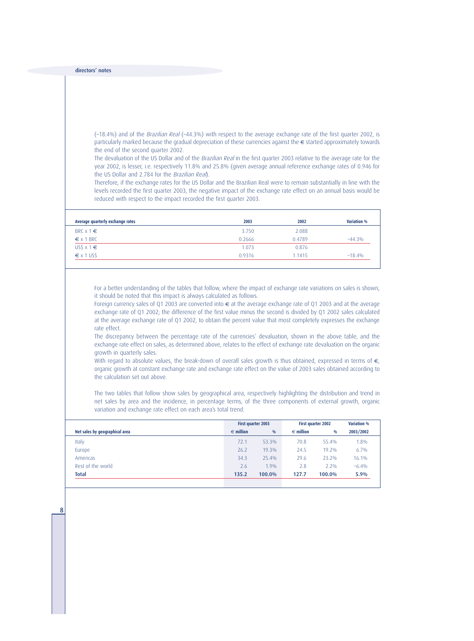(–18.4%) and of the Brazilian Real (–44.3%) with respect to the average exchange rate of the first quarter 2002, is particularly marked because the gradual depreciation of these currencies against the € started approximately towards the end of the second quarter 2002.

The devaluation of the US Dollar and of the Brazilian Real in the first quarter 2003 relative to the average rate for the year 2002, is lesser, i.e. respectively 11.8% and 25.8% (given average annual reference exchange rates of 0.946 for the US Dollar and 2.784 for the Brazilian Real).

Therefore, if the exchange rates for the US Dollar and the Brazilian Real were to remain substantially in line with the levels recorded the first quarter 2003, the negative impact of the exchange rate effect on an annual basis would be reduced with respect to the impact recorded the first quarter 2003.

| Average quarterly exchange rates | 2003   | 2002   | <b>Variation %</b> |
|----------------------------------|--------|--------|--------------------|
| BRC $x 1 \in$                    | 3.750  | 2.088  |                    |
| $\epsilon$ x 1 BRC               | 0.2666 | 0.4789 | $-44.3%$           |
| $US$x1$ \in$                     | 1.073  | 0.876  |                    |
| $\epsilon$ x 1 US\$              | 0.9316 | 1.1415 | $-18.4%$           |

For a better understanding of the tables that follow, where the impact of exchange rate variations on sales is shown, it should be noted that this impact is always calculated as follows.

Foreign currency sales of Q1 2003 are converted into  $\epsilon$  at the average exchange rate of Q1 2003 and at the average exchange rate of Q1 2002; the difference of the first value minus the second is divided by Q1 2002 sales calculated at the average exchange rate of Q1 2002, to obtain the percent value that most completely expresses the exchange rate effect.

The discrepancy between the percentage rate of the currencies' devaluation, shown in the above table, and the exchange rate effect on sales, as determined above, relates to the effect of exchange rate devaluation on the organic growth in quarterly sales.

With regard to absolute values, the break-down of overall sales growth is thus obtained, expressed in terms of  $\epsilon$ , organic growth at constant exchange rate and exchange rate effect on the value of 2003 sales obtained according to the calculation set out above.

The two tables that follow show sales by geographical area, respectively highlighting the distribution and trend in net sales by area and the incidence, in percentage terms, of the three components of external growth, organic variation and exchange rate effect on each area's total trend.

|                                |                    | First quarter 2003 |                    | <b>First quarter 2002</b> | <b>Variation %</b> |
|--------------------------------|--------------------|--------------------|--------------------|---------------------------|--------------------|
| Net sales by geographical area | $\epsilon$ million | $\frac{0}{0}$      | $\epsilon$ million | $\frac{0}{0}$             | 2003/2002          |
| Italy                          | 72.1               | 53.3%              | 70.8               | 55.4%                     | 1.8%               |
| Europe                         | 26.2               | 19.3%              | 24.5               | $19.2\%$                  | 6.7%               |
| Americas                       | 34.3               | 25.4%              | 29.6               | 23.2%                     | 16.1%              |
| Rest of the world              | 2.6                | $1.9\%$            | 2.8                | 2.2%                      | $-6.4%$            |
| <b>Total</b>                   | 135.2              | 100.0%             | 127.7              | 100.0%                    | 5.9%               |
|                                |                    |                    |                    |                           |                    |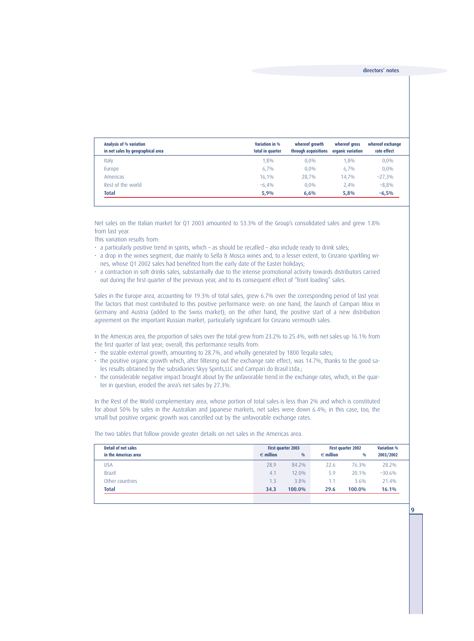| Analysis of % variation<br>in net sales by geographical area | Variation in %<br>total in quarter | whereof growth<br>through acquisitions | whereof gross<br>organic variation | whereof exchange<br>rate effect |
|--------------------------------------------------------------|------------------------------------|----------------------------------------|------------------------------------|---------------------------------|
| Italy                                                        | 1,8%                               | $0.0\%$                                | 1.8%                               | $0.0\%$                         |
| Europe                                                       | 6,7%                               | $0.0\%$                                | 6.7%                               | $0.0\%$                         |
| Americas                                                     | 16,1%                              | 28.7%                                  | 14.7%                              | $-27,3%$                        |
| Rest of the world                                            | $-6.4%$                            | $0.0\%$                                | 2.4%                               | $-8,8%$                         |
| <b>Total</b>                                                 | 5,9%                               | 6.6%                                   | 5,8%                               | $-6,5%$                         |

Net sales on the Italian market for Q1 2003 amounted to 53.3% of the Group's consolidated sales and grew 1.8% from last year.

This variation results from:

- a particularly positive trend in spirits, which as should be recalled also include ready to drink sales;
- a drop in the wines segment, due mainly to Sella & Mosca wines and, to a lesser extent, to Cinzano sparkling wines, whose Q1 2002 sales had benefited from the early date of the Easter holidays;
- a contraction in soft drinks sales, substantially due to the intense promotional activity towards distributors carried out during the first quarter of the previous year, and to its consequent effect of "front loading" sales.

Sales in the Europe area, accounting for 19.3% of total sales, grew 6.7% over the corresponding period of last year. The factors that most contributed to this positive performance were: on one hand, the launch of Campari Mixx in Germany and Austria (added to the Swiss market); on the other hand, the positive start of a new distribution agreement on the important Russian market, particularly significant for Cinzano vermouth sales.

In the Americas area, the proportion of sales over the total grew from 23.2% to 25.4%, with net sales up 16.1% from the first quarter of last year; overall, this performance results from:

- the sizable external growth, amounting to 28.7%, and wholly generated by 1800 Tequila sales;
- the positive organic growth which, after filtering out the exchange rate effect, was 14.7%, thanks to the good sales results obtained by the subsidiaries Skyy Spirits,LLC and Campari do Brasil Ltda.;
- the considerable negative impact brought about by the unfavorable trend in the exchange rates, which, in the quarter in question, eroded the area's net sales by 27.3%.

In the Rest of the World complementary area, whose portion of total sales is less than 2% and which is constituted for about 50% by sales in the Australian and Japanese markets, net sales were down 6.4%; in this case, too, the small but positive organic growth was cancelled out by the unfavorable exchange rates.

The two tables that follow provide greater details on net sales in the Americas area.

| Detail of net sales  |                    | First quarter 2003 |                    | <b>First quarter 2002</b> |           |
|----------------------|--------------------|--------------------|--------------------|---------------------------|-----------|
| in the Americas area | $\epsilon$ million | $\frac{0}{0}$      | $\epsilon$ million | $\frac{0}{0}$             | 2003/2002 |
| USA                  | 28.9               | 84.2%              | 22.6               | 76.3%                     | 28.2%     |
| <b>Brazil</b>        | 4.1                | 12.0%              | 5.9                | 20.1%                     | $-30.6%$  |
| Other countries      | 1.3                | 3.8%               | 1.1                | 3.6%                      | 21.4%     |
| <b>Total</b>         | 34.3               | 100.0%             | 29.6               | 100.0%                    | 16.1%     |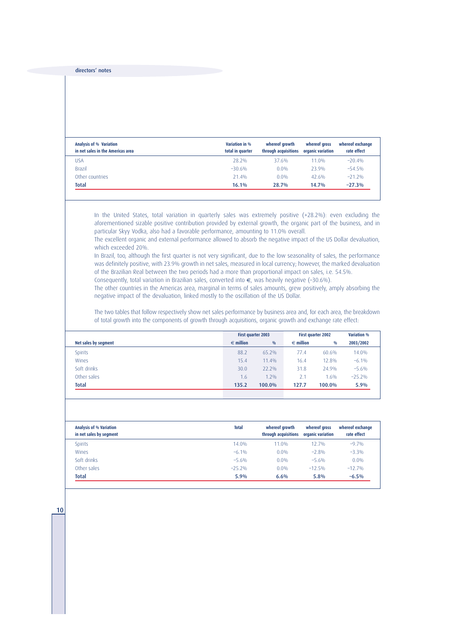| <b>Analysis of % Variation</b><br>in net sales in the Americas area | Variation in %<br>total in quarter | whereof growth<br>through acquisitions | whereof aross<br>organic variation | whereof exchange<br>rate effect |
|---------------------------------------------------------------------|------------------------------------|----------------------------------------|------------------------------------|---------------------------------|
| <b>USA</b>                                                          | 28.2%                              | 37.6%                                  | 11.0%                              | $-20.4%$                        |
| <b>Brazil</b>                                                       | $-30.6%$                           | 0.0%                                   | 23.9%                              | $-54.5%$                        |
| Other countries                                                     | 71.4%                              | 0.0%                                   | 42.6%                              | $-21.2%$                        |
| <b>Total</b>                                                        | 16.1%                              | 28.7%                                  | 14.7%                              | $-27.3%$                        |

In the United States, total variation in quarterly sales was extremely positive (+28.2%): even excluding the aforementioned sizable positive contribution provided by external growth, the organic part of the business, and in particular Skyy Vodka, also had a favorable performance, amounting to 11.0% overall.

The excellent organic and external performance allowed to absorb the negative impact of the US Dollar devaluation, which exceeded 20%.

In Brazil, too, although the first quarter is not very significant, due to the low seasonality of sales, the performance was definitely positive, with 23.9% growth in net sales, measured in local currency; however, the marked devaluation of the Brazilian Real between the two periods had a more than proportional impact on sales, i.e. 54.5%.

Consequently, total variation in Brazilian sales, converted into €, was heavily negative (–30.6%).

The other countries in the Americas area, marginal in terms of sales amounts, grew positively, amply absorbing the negative impact of the devaluation, linked mostly to the oscillation of the US Dollar.

The two tables that follow respectively show net sales performance by business area and, for each area, the breakdown of total growth into the components of growth through acquisitions, organic growth and exchange rate effect:

|                      |                    | First quarter 2003 |                    | First quarter 2002 | <b>Variation %</b> |
|----------------------|--------------------|--------------------|--------------------|--------------------|--------------------|
| Net sales by segment | $\epsilon$ million | $\frac{0}{0}$      | $\epsilon$ million | $\frac{0}{0}$      | 2003/2002          |
| <b>Spirits</b>       | 88.2               | 65.2%              | 77.4               | 60.6%              | 14.0%              |
| Wines                | 15.4               | 11.4%              | 16.4               | 12.8%              | $-6.1\%$           |
| Soft drinks          | 30.0               | $22.2\%$           | 31.8               | 24.9%              | $-5.6%$            |
| Other sales          | 1.6                | $1.2\%$            | 2.1                | 1.6%               | $-25.2%$           |
| <b>Total</b>         | 135.2              | 100.0%             | 127.7              | 100.0%             | 5.9%               |
|                      |                    |                    |                    |                    |                    |

| <b>Analysis of % Variation</b><br>in net sales by segment | <b>Total</b> | whereof growth<br>through acquisitions | whereof gross<br>organic variation | whereof exchange<br>rate effect |
|-----------------------------------------------------------|--------------|----------------------------------------|------------------------------------|---------------------------------|
| <b>Spirits</b>                                            | 14.0%        | 11.0%                                  | 12.7%                              | $-9.7%$                         |
| Wines                                                     | $-6.1\%$     | $0.0\%$                                | $-2.8%$                            | $-3.3%$                         |
| Soft drinks                                               | $-5.6%$      | 0.0%                                   | $-5.6%$                            | $0.0\%$                         |
| Other sales                                               | $-25.2%$     | 0.0%                                   | $-12.5%$                           | $-12.7%$                        |
| <b>Total</b>                                              | 5.9%         | 6.6%                                   | 5.8%                               | $-6.5%$                         |

10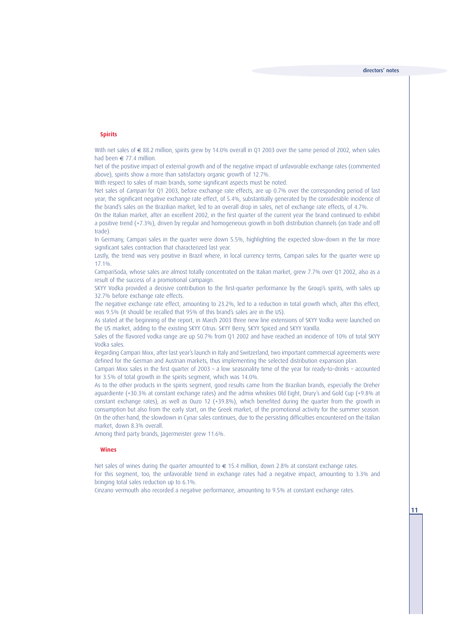#### **Spirits**

With net sales of € 88.2 million, spirits grew by 14.0% overall in 01 2003 over the same period of 2002, when sales had been  $\epsilon$  77.4 million.

Net of the positive impact of external growth and of the negative impact of unfavorable exchange rates (commented above), spirits show a more than satisfactory organic growth of 12.7%.

With respect to sales of main brands, some significant aspects must be noted.

Net sales of Campari for Q1 2003, before exchange rate effects, are up 0.7% over the corresponding period of last year; the significant negative exchange rate effect, of 5.4%, substantially generated by the considerable incidence of the brand's sales on the Brazilian market, led to an overall drop in sales, net of exchange rate effects, of 4.7%.

On the Italian market, after an excellent 2002, in the first quarter of the current year the brand continued to exhibit a positive trend (+7.3%), driven by regular and homogeneous growth in both distribution channels (on trade and off trade).

In Germany, Campari sales in the quarter were down 5.5%, highlighting the expected slow-down in the far more significant sales contraction that characterized last year.

Lastly, the trend was very positive in Brazil where, in local currency terms, Campari sales for the quarter were up 17.1%.

CampariSoda, whose sales are almost totally concentrated on the Italian market, grew 7.7% over Q1 2002, also as a result of the success of a promotional campaign.

SKYY Vodka provided a decisive contribution to the first-quarter performance by the Group's spirits, with sales up 32.7% before exchange rate effects.

The negative exchange rate effect, amounting to 23.2%, led to a reduction in total growth which, after this effect, was 9.5% (it should be recalled that 95% of this brand's sales are in the US).

As stated at the beginning of the report, in March 2003 three new line extensions of SKYY Vodka were launched on the US market, adding to the existing SKYY Citrus: SKYY Berry, SKYY Spiced and SKYY Vanilla.

Sales of the flavored vodka range are up 50.7% from Q1 2002 and have reached an incidence of 10% of total SKYY Vodka sales.

Regarding Campari Mixx, after last year's launch in Italy and Switzerland, two important commercial agreements were defined for the German and Austrian markets, thus implementing the selected distribution expansion plan.

Campari Mixx sales in the first quarter of 2003 – a low seasonality time of the year for ready-to-drinks – accounted for 3.5% of total growth in the spirits segment, which was 14.0%.

As to the other products in the spirits segment, good results came from the Brazilian brands, especially the Dreher aguardiente (+30.3% at constant exchange rates) and the admix whiskies Old Eight, Drury's and Gold Cup (+9.8% at constant exchange rates), as well as Ouzo 12 (+39.8%), which benefited during the quarter from the growth in consumption but also from the early start, on the Greek market, of the promotional activity for the summer season. On the other hand, the slowdown in Cynar sales continues, due to the persisting difficulties encountered on the Italian market, down 8.3% overall.

Among third party brands, Jägermeister grew 11.6%.

#### **Wines**

Net sales of wines during the quarter amounted to  $\epsilon$  15.4 million, down 2.8% at constant exchange rates. For this segment, too, the unfavorable trend in exchange rates had a negative impact, amounting to 3.3% and bringing total sales reduction up to 6.1%.

Cinzano vermouth also recorded a negative performance, amounting to 9.5% at constant exchange rates.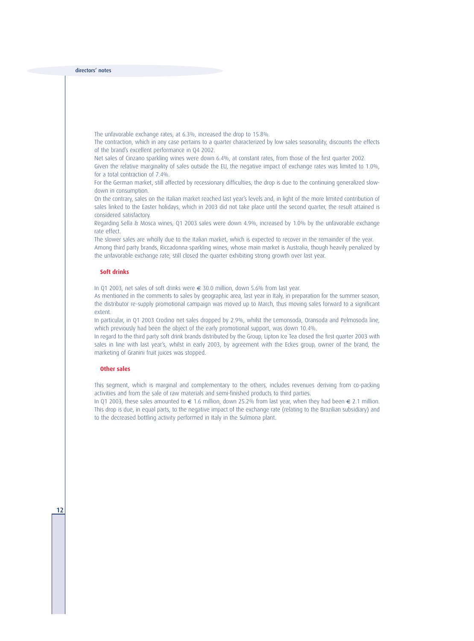The unfavorable exchange rates, at 6.3%, increased the drop to 15.8%.

The contraction, which in any case pertains to a quarter characterized by low sales seasonality, discounts the effects of the brand's excellent performance in Q4 2002.

Net sales of Cinzano sparkling wines were down 6.4%, at constant rates, from those of the first quarter 2002.

Given the relative marginality of sales outside the EU, the negative impact of exchange rates was limited to 1.0%, for a total contraction of 7.4%.

For the German market, still affected by recessionary difficulties, the drop is due to the continuing generalized slowdown in consumption.

On the contrary, sales on the Italian market reached last year's levels and, in light of the more limited contribution of sales linked to the Easter holidays, which in 2003 did not take place until the second quarter, the result attained is considered satisfactory.

Regarding Sella & Mosca wines, Q1 2003 sales were down 4.9%, increased by 1.0% by the unfavorable exchange rate effect.

The slower sales are wholly due to the Italian market, which is expected to recover in the remainder of the year. Among third party brands, Riccadonna sparkling wines, whose main market is Australia, though heavily penalized by the unfavorable exchange rate, still closed the quarter exhibiting strong growth over last year.

#### **Soft drinks**

In Q1 2003, net sales of soft drinks were € 30.0 million, down 5.6% from last year.

As mentioned in the comments to sales by geographic area, last year in Italy, in preparation for the summer season, the distributor re-supply promotional campaign was moved up to March, thus moving sales forward to a significant extent.

In particular, in Q1 2003 Crodino net sales dropped by 2.9%, whilst the Lemonsoda, Oransoda and Pelmosoda line, which previously had been the object of the early promotional support, was down 10.4%.

In regard to the third party soft drink brands distributed by the Group, Lipton Ice Tea closed the first quarter 2003 with sales in line with last year's, whilst in early 2003, by agreement with the Eckes group, owner of the brand, the marketing of Granini fruit juices was stopped.

#### **Other sales**

12

This segment, which is marginal and complementary to the others, includes revenues deriving from co-packing activities and from the sale of raw materials and semi-finished products to third parties.

In Q1 2003, these sales amounted to € 1.6 million, down 25.2% from last year, when they had been € 2.1 million. This drop is due, in equal parts, to the negative impact of the exchange rate (relating to the Brazilian subsidiary) and to the decreased bottling activity performed in Italy in the Sulmona plant.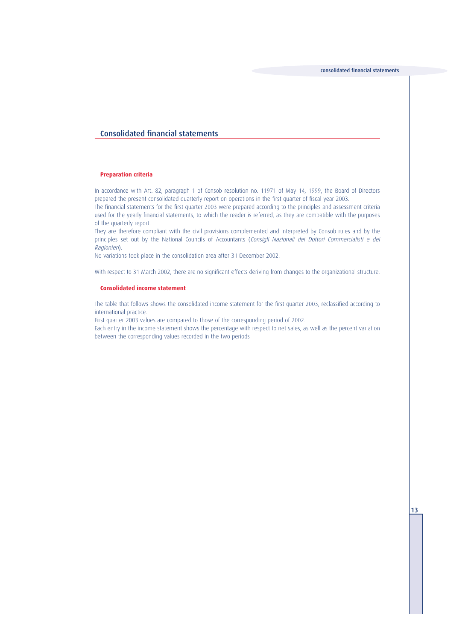## Consolidated financial statements

#### **Preparation criteria**

In accordance with Art. 82, paragraph 1 of Consob resolution no. 11971 of May 14, 1999, the Board of Directors prepared the present consolidated quarterly report on operations in the first quarter of fiscal year 2003.

The financial statements for the first quarter 2003 were prepared according to the principles and assessment criteria used for the yearly financial statements, to which the reader is referred, as they are compatible with the purposes of the quarterly report.

They are therefore compliant with the civil provisions complemented and interpreted by Consob rules and by the principles set out by the National Councils of Accountants (Consigli Nazionali dei Dottori Commercialisti e dei Ragionieri).

No variations took place in the consolidation area after 31 December 2002.

With respect to 31 March 2002, there are no significant effects deriving from changes to the organizational structure.

#### **Consolidated income statement**

The table that follows shows the consolidated income statement for the first quarter 2003, reclassified according to international practice.

First quarter 2003 values are compared to those of the corresponding period of 2002.

Each entry in the income statement shows the percentage with respect to net sales, as well as the percent variation between the corresponding values recorded in the two periods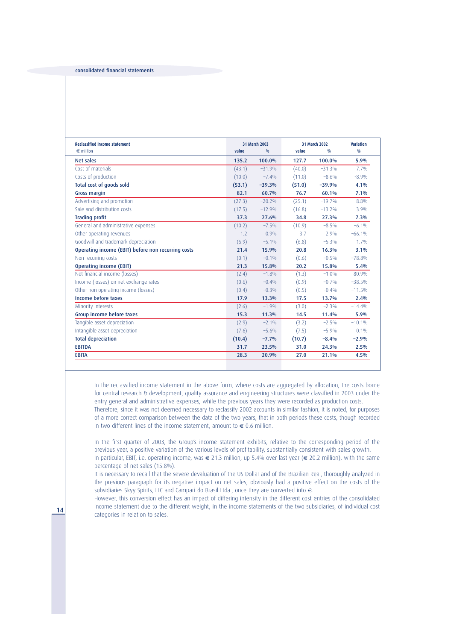| <b>Reclassified income statement</b>               |        | 31 March 2003 |        | 31 March 2002 | <b>Variation</b> |
|----------------------------------------------------|--------|---------------|--------|---------------|------------------|
| $\epsilon$ million                                 | value  | $\frac{0}{0}$ | value  | $\frac{0}{0}$ | $\frac{0}{0}$    |
| <b>Net sales</b>                                   | 135.2  | 100.0%        | 127.7  | 100.0%        | 5.9%             |
| Cost of materials                                  | (43.1) | $-31.9%$      | (40.0) | $-31.3%$      | $7.7\%$          |
| Costs of production                                | (10.0) | $-7.4%$       | (11.0) | $-8.6%$       | $-8.9%$          |
| Total cost of goods sold                           | (53.1) | $-39.3%$      | (51.0) | $-39.9%$      | 4.1%             |
| <b>Gross margin</b>                                | 82.1   | 60.7%         | 76.7   | 60.1%         | 7.1%             |
| Advertising and promotion                          | (27.3) | $-20.2%$      | (25.1) | $-19.7%$      | 8.8%             |
| Sale and distribution costs                        | (17.5) | $-12.9%$      | (16.8) | $-13.2%$      | 3.9%             |
| <b>Trading profit</b>                              | 37.3   | 27.6%         | 34.8   | 27.3%         | 7.3%             |
| General and administrative expenses                | (10.2) | $-7.5\%$      | (10.9) | $-8.5%$       | $-6.1\%$         |
| Other operating revenues                           | 1.2    | $0.9\%$       | 3.7    | 2.9%          | $-66.1%$         |
| Goodwill and trademark depreciation                | (6.9)  | $-5.1\%$      | (6.8)  | $-5.3%$       | $1.7\%$          |
| Operating income (EBIT) before non recurring costs | 21.4   | 15.9%         | 20.8   | 16.3%         | 3.1%             |
| Non recurring costs                                | (0.1)  | $-0.1%$       | (0.6)  | $-0.5%$       | $-78.8%$         |
| <b>Operating income (EBIT)</b>                     | 21.3   | 15.8%         | 20.2   | 15.8%         | 5.4%             |
| Net financial income (losses)                      | (2.4)  | $-1.8%$       | (1.3)  | $-1.0%$       | 80.9%            |
| Income (losses) on net exchange rates              | (0.6)  | $-0.4%$       | (0.9)  | $-0.7%$       | $-38.5%$         |
| Other non operating income (losses)                | (0.4)  | $-0.3%$       | (0.5)  | $-0.4%$       | $-11.5%$         |
| Income before taxes                                | 17.9   | 13.3%         | 17.5   | 13.7%         | 2.4%             |
| Minority interests                                 | (2.6)  | $-1.9%$       | (3.0)  | $-2.3%$       | $-14.4%$         |
| Group income before taxes                          | 15.3   | 11.3%         | 14.5   | 11.4%         | 5.9%             |
| Tangible asset depreciation                        | (2.9)  | $-2.1\%$      | (3.2)  | $-2.5%$       | $-10.1%$         |
| Intangible asset depreciation                      | (7.6)  | $-5.6%$       | (7.5)  | $-5.9%$       | $0.1\%$          |
| <b>Total depreciation</b>                          | (10.4) | $-7.7%$       | (10.7) | $-8.4%$       | $-2.9%$          |
| <b>EBITDA</b>                                      | 31.7   | 23.5%         | 31.0   | 24.3%         | 2.5%             |
| <b>EBITA</b>                                       | 28.3   | 20.9%         | 27.0   | 21.1%         | 4.5%             |
|                                                    |        |               |        |               |                  |

In the reclassified income statement in the above form, where costs are aggregated by allocation, the costs borne for central research & development, quality assurance and engineering structures were classified in 2003 under the entry general and administrative expenses, while the previous years they were recorded as production costs. Therefore, since it was not deemed necessary to reclassify 2002 accounts in similar fashion, it is noted, for purposes of a more correct comparison between the data of the two years, that in both periods these costs, though recorded

in two different lines of the income statement, amount to  $\epsilon$  0.6 million.

In the first quarter of 2003, the Group's income statement exhibits, relative to the corresponding period of the previous year, a positive variation of the various levels of profitability, substantially consistent with sales growth. In particular, EBIT, i.e. operating income, was € 21.3 million, up 5.4% over last year (€ 20.2 million), with the same percentage of net sales (15.8%).

It is necessary to recall that the severe devaluation of the US Dollar and of the Brazilian Real, thoroughly analyzed in the previous paragraph for its negative impact on net sales, obviously had a positive effect on the costs of the subsidiaries Skyy Spirits, LLC and Campari do Brasil Ltda., once they are converted into €.

However, this conversion effect has an impact of differing intensity in the different cost entries of the consolidated income statement due to the different weight, in the income statements of the two subsidiaries, of individual cost **14** categories in relation to sales.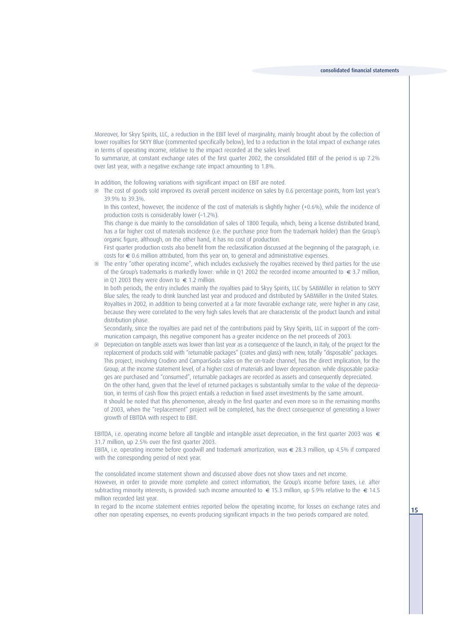Moreover, for Skyy Spirits, LLC, a reduction in the EBIT level of marginality, mainly brought about by the collection of lower royalties for SKYY Blue (commented specifically below), led to a reduction in the total impact of exchange rates in terms of operating income, relative to the impact recorded at the sales level.

To summarize, at constant exchange rates of the first quarter 2002, the consolidated EBIT of the period is up 7.2% over last year, with a negative exchange rate impact amounting to 1.8%.

In addition, the following variations with significant impact on EBIT are noted.

^ The cost of goods sold improved its overall percent incidence on sales by 0.6 percentage points, from last year's 39.9% to 39.3%.

In this context, however, the incidence of the cost of materials is slightly higher (+0.6%), while the incidence of production costs is considerably lower (–1.2%).

This change is due mainly to the consolidation of sales of 1800 Tequila, which, being a license distributed brand, has a far higher cost of materials incidence (i.e. the purchase price from the trademark holder) than the Group's organic figure, although, on the other hand, it has no cost of production.

First quarter production costs also benefit from the reclassification discussed at the beginning of the paragraph, i.e. costs for € 0.6 million attributed, from this year on, to general and administrative expenses.

^ The entry "other operating income", which includes exclusively the royalties received by third parties for the use of the Group's trademarks is markedly lower: while in Q1 2002 the recorded income amounted to  $\epsilon$  3.7 million, in Q1 2003 they were down to  $€ 1.2$  million.

In both periods, the entry includes mainly the royalties paid to Skyy Spirits, LLC by SABMiller in relation to SKYY Blue sales, the ready to drink launched last year and produced and distributed by SABMiller in the United States. Royalties in 2002, in addition to being converted at a far more favorable exchange rate, were higher in any case, because they were correlated to the very high sales levels that are characteristic of the product launch and initial distribution phase.

Secondarily, since the royalties are paid net of the contributions paid by Skyy Spirits, LLC in support of the communication campaign, this negative component has a greater incidence on the net proceeds of 2003.

□ Depreciation on tangible assets was lower than last year as a consequence of the launch, in Italy, of the project for the replacement of products sold with "returnable packages" (crates and glass) with new, totally "disposable" packages. This project, involving Crodino and CampariSoda sales on the on-trade channel, has the direct implication, for the Group, at the income statement level, of a higher cost of materials and lower depreciation: while disposable packages are purchased and "consumed", returnable packages are recorded as assets and consequently depreciated. On the other hand, given that the level of returned packages is substantially similar to the value of the depreciation, in terms of cash flow this project entails a reduction in fixed asset investments by the same amount.

It should be noted that this phenomenon, already in the first quarter and even more so in the remaining months of 2003, when the "replacement" project will be completed, has the direct consequence of generating a lower growth of EBITDA with respect to EBIT.

EBITDA, i.e. operating income before all tangible and intangible asset depreciation, in the first quarter 2003 was  $\in$ 31.7 million, up 2.5% over the first quarter 2003.

EBITA, i.e. operating income before goodwill and trademark amortization, was  $\epsilon$  28.3 million, up 4.5% if compared with the corresponding period of next year.

The consolidated income statement shown and discussed above does not show taxes and net income. However, in order to provide more complete and correct information, the Group's income before taxes, i.e. after subtracting minority interests, is provided: such income amounted to  $\epsilon$  15.3 million, up 5.9% relative to the  $\epsilon$  14.5 million recorded last year.

In regard to the income statement entries reported below the operating income, for losses on exchange rates and other non operating expenses, no events producing significant impacts in the two periods compared are noted.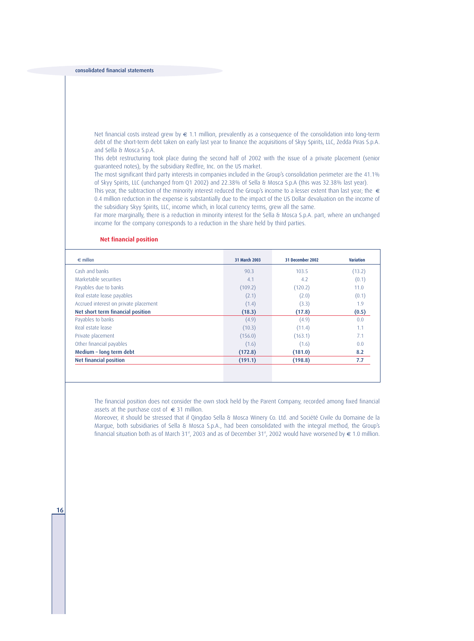Net financial costs instead grew by  $\in$  1.1 million, prevalently as a consequence of the consolidation into long-term debt of the short-term debt taken on early last year to finance the acquisitions of Skyy Spirits, LLC, Zedda Piras S.p.A. and Sella & Mosca S.p.A.

This debt restructuring took place during the second half of 2002 with the issue of a private placement (senior guaranteed notes), by the subsidiary Redfire, Inc. on the US market.

The most significant third party interests in companies included in the Group's consolidation perimeter are the 41.1% of Skyy Spirits, LLC (unchanged from Q1 2002) and 22.38% of Sella & Mosca S.p.A (this was 32.38% last year).

This year, the subtraction of the minority interest reduced the Group's income to a lesser extent than last year; the  $\epsilon$ 0.4 million reduction in the expense is substantially due to the impact of the US Dollar devaluation on the income of the subsidiary Skyy Spirits, LLC, income which, in local currency terms, grew all the same.

Far more marginally, there is a reduction in minority interest for the Sella & Mosca S.p.A. part, where an unchanged income for the company corresponds to a reduction in the share held by third parties.

#### **Net financial position**

| $\epsilon$ million                    | 31 March 2003 | 31 December 2002 | <b>Variation</b> |
|---------------------------------------|---------------|------------------|------------------|
| Cash and banks                        | 90.3          | 103.5            | (13.2)           |
| Marketable securities                 | 4.1           | 4.2              | (0.1)            |
| Payables due to banks                 | (109.2)       | (120.2)          | 11.0             |
| Real estate lease payables            | (2.1)         | (2.0)            | (0.1)            |
| Accrued interest on private placement | (1.4)         | (3.3)            | 1.9              |
| Net short term financial position     | (18.3)        | (17.8)           | (0.5)            |
| Payables to banks                     | (4.9)         | (4.9)            | 0.0              |
| Real estate lease                     | (10.3)        | (11.4)           | 1.1              |
| Private placement                     | (156.0)       | (163.1)          | 7.1              |
| Other financial payables              | (1.6)         | (1.6)            | 0.0              |
| Medium - long term debt               | (172.8)       | (181.0)          | 8.2              |
| <b>Net financial position</b>         | (191.1)       | (198.8)          | 7.7              |

The financial position does not consider the own stock held by the Parent Company, recorded among fixed financial assets at the purchase cost of  $\epsilon$  31 million.

Moreover, it should be stressed that if Qingdao Sella & Mosca Winery Co. Ltd. and Société Civile du Domaine de la Margue, both subsidiaries of Sella & Mosca S.p.A., had been consolidated with the integral method, the Group's financial situation both as of March 31<sup>st</sup>, 2003 and as of December 31<sup>st</sup>, 2002 would have worsened by  $\in$  1.0 million.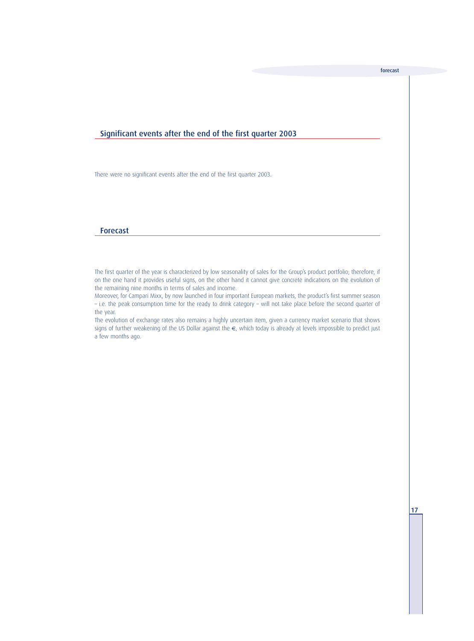### Significant events after the end of the first quarter 2003

There were no significant events after the end of the first quarter 2003.

#### Forecast

The first quarter of the year is characterized by low seasonality of sales for the Group's product portfolio; therefore, if on the one hand it provides useful signs, on the other hand it cannot give concrete indications on the evolution of the remaining nine months in terms of sales and income.

Moreover, for Campari Mixx, by now launched in four important European markets, the product's first summer season – i.e. the peak consumption time for the ready to drink category – will not take place before the second quarter of the year.

The evolution of exchange rates also remains a highly uncertain item, given a currency market scenario that shows signs of further weakening of the US Dollar against the €, which today is already at levels impossible to predict just a few months ago.